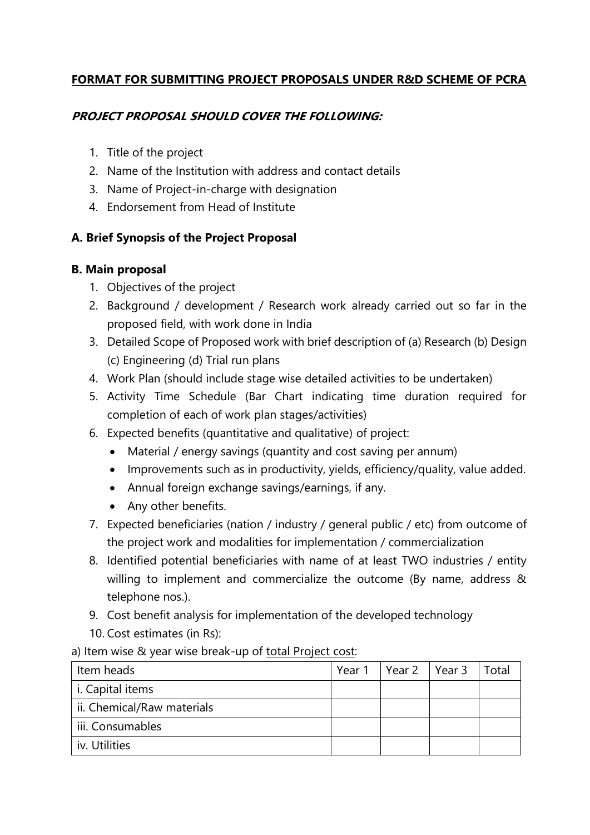# **FORMAT FOR SUBMITTING PROJECT PROPOSALS UNDER R&D SCHEME OF PCRA**

### **PROJECT PROPOSAL SHOULD COVER THE FOLLOWING:**

- 1. Title of the project
- 2. Name of the Institution with address and contact details
- 3. Name of Project-in-charge with designation
- 4. Endorsement from Head of Institute

# **A. Brief Synopsis of the Project Proposal**

#### **B. Main proposal**

- 1. Objectives of the project
- 2. Background / development / Research work already carried out so far in the proposed field, with work done in India
- 3. Detailed Scope of Proposed work with brief description of (a) Research (b) Design (c) Engineering (d) Trial run plans
- 4. Work Plan (should include stage wise detailed activities to be undertaken)
- 5. Activity Time Schedule (Bar Chart indicating time duration required for completion of each of work plan stages/activities)
- 6. Expected benefits (quantitative and qualitative) of project:
	- Material / energy savings (quantity and cost saving per annum)
	- Improvements such as in productivity, yields, efficiency/quality, value added.
	- Annual foreign exchange savings/earnings, if any.
	- Any other benefits.
- 7. Expected beneficiaries (nation / industry / general public / etc) from outcome of the project work and modalities for implementation / commercialization
- 8. Identified potential beneficiaries with name of at least TWO industries / entity willing to implement and commercialize the outcome (By name, address & telephone nos.).
- 9. Cost benefit analysis for implementation of the developed technology
- 10. Cost estimates (in Rs):
- a) Item wise & year wise break-up of total Project cost:

| Item heads                 | Year 1 | Year $2 \parallel$ | Year 3 | Total |
|----------------------------|--------|--------------------|--------|-------|
| i. Capital items           |        |                    |        |       |
| ii. Chemical/Raw materials |        |                    |        |       |
| iii. Consumables           |        |                    |        |       |
| iv. Utilities              |        |                    |        |       |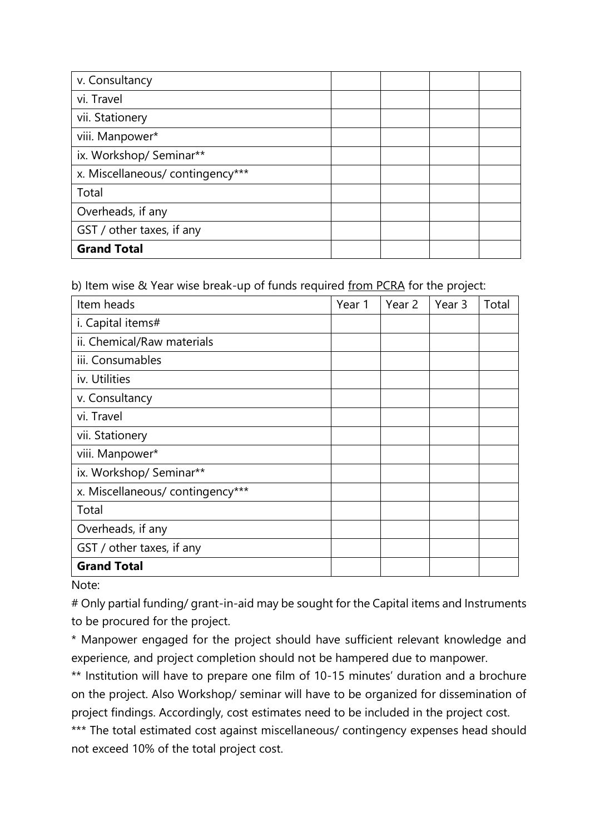| v. Consultancy                  |  |  |
|---------------------------------|--|--|
| vi. Travel                      |  |  |
| vii. Stationery                 |  |  |
| viii. Manpower*                 |  |  |
| ix. Workshop/ Seminar**         |  |  |
| x. Miscellaneous/contingency*** |  |  |
| Total                           |  |  |
| Overheads, if any               |  |  |
| GST / other taxes, if any       |  |  |
| <b>Grand Total</b>              |  |  |

b) Item wise & Year wise break-up of funds required from PCRA for the project:

| Item heads                      | Year 1 | Year 2 | Year 3 | Total |
|---------------------------------|--------|--------|--------|-------|
| i. Capital items#               |        |        |        |       |
| ii. Chemical/Raw materials      |        |        |        |       |
| iii. Consumables                |        |        |        |       |
| iv. Utilities                   |        |        |        |       |
| v. Consultancy                  |        |        |        |       |
| vi. Travel                      |        |        |        |       |
| vii. Stationery                 |        |        |        |       |
| viii. Manpower*                 |        |        |        |       |
| ix. Workshop/ Seminar**         |        |        |        |       |
| x. Miscellaneous/contingency*** |        |        |        |       |
| Total                           |        |        |        |       |
| Overheads, if any               |        |        |        |       |
| GST / other taxes, if any       |        |        |        |       |
| <b>Grand Total</b>              |        |        |        |       |

Note:

# Only partial funding/ grant-in-aid may be sought for the Capital items and Instruments to be procured for the project.

\* Manpower engaged for the project should have sufficient relevant knowledge and experience, and project completion should not be hampered due to manpower.

\*\* Institution will have to prepare one film of 10-15 minutes' duration and a brochure on the project. Also Workshop/ seminar will have to be organized for dissemination of project findings. Accordingly, cost estimates need to be included in the project cost.

\*\*\* The total estimated cost against miscellaneous/ contingency expenses head should not exceed 10% of the total project cost.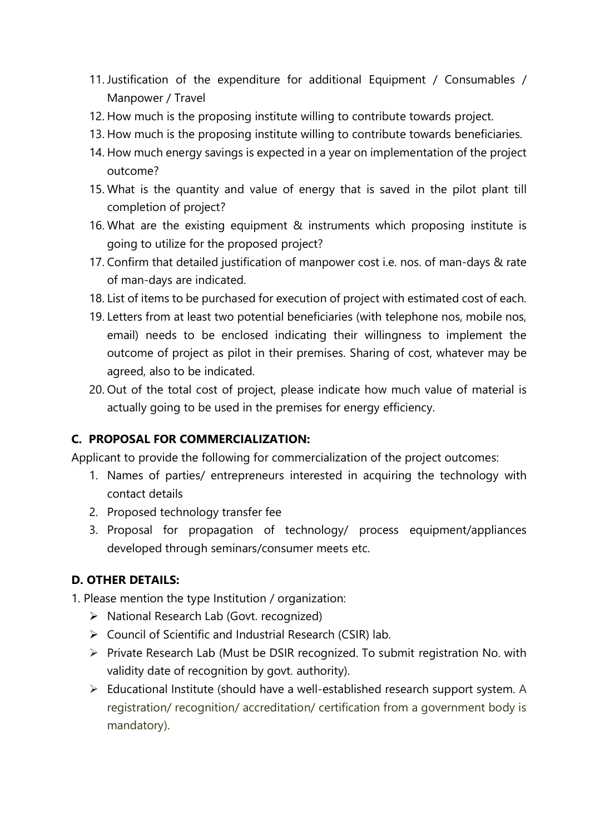- 11. Justification of the expenditure for additional Equipment / Consumables / Manpower / Travel
- 12. How much is the proposing institute willing to contribute towards project.
- 13. How much is the proposing institute willing to contribute towards beneficiaries.
- 14. How much energy savings is expected in a year on implementation of the project outcome?
- 15. What is the quantity and value of energy that is saved in the pilot plant till completion of project?
- 16. What are the existing equipment & instruments which proposing institute is going to utilize for the proposed project?
- 17. Confirm that detailed justification of manpower cost i.e. nos. of man-days & rate of man-days are indicated.
- 18. List of items to be purchased for execution of project with estimated cost of each.
- 19. Letters from at least two potential beneficiaries (with telephone nos, mobile nos, email) needs to be enclosed indicating their willingness to implement the outcome of project as pilot in their premises. Sharing of cost, whatever may be agreed, also to be indicated.
- 20. Out of the total cost of project, please indicate how much value of material is actually going to be used in the premises for energy efficiency.

# **C. PROPOSAL FOR COMMERCIALIZATION:**

Applicant to provide the following for commercialization of the project outcomes:

- 1. Names of parties/ entrepreneurs interested in acquiring the technology with contact details
- 2. Proposed technology transfer fee
- 3. Proposal for propagation of technology/ process equipment/appliances developed through seminars/consumer meets etc.

# **D. OTHER DETAILS:**

1. Please mention the type Institution / organization:

- ▶ National Research Lab (Govt. recognized)
- ▶ Council of Scientific and Industrial Research (CSIR) lab.
- $\triangleright$  Private Research Lab (Must be DSIR recognized. To submit registration No. with validity date of recognition by govt. authority).
- Educational Institute (should have a well-established research support system. A registration/ recognition/ accreditation/ certification from a government body is mandatory).